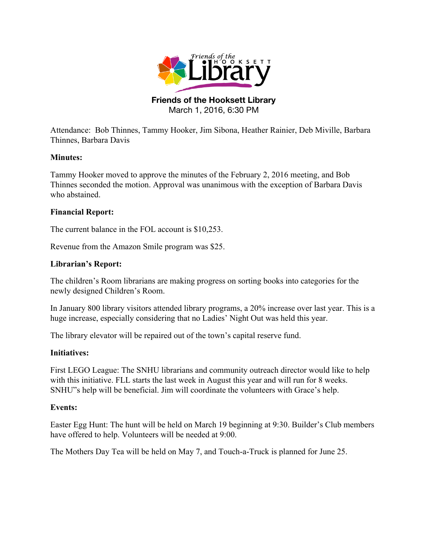

#### **Friends of the Hooksett Library** March 1, 2016, 6:30 PM

Attendance: Bob Thinnes, Tammy Hooker, Jim Sibona, Heather Rainier, Deb Miville, Barbara Thinnes, Barbara Davis

## **Minutes:**

Tammy Hooker moved to approve the minutes of the February 2, 2016 meeting, and Bob Thinnes seconded the motion. Approval was unanimous with the exception of Barbara Davis who abstained.

## **Financial Report:**

The current balance in the FOL account is \$10,253.

Revenue from the Amazon Smile program was \$25.

## **Librarian's Report:**

The children's Room librarians are making progress on sorting books into categories for the newly designed Children's Room.

In January 800 library visitors attended library programs, a 20% increase over last year. This is a huge increase, especially considering that no Ladies' Night Out was held this year.

The library elevator will be repaired out of the town's capital reserve fund.

#### **Initiatives:**

First LEGO League: The SNHU librarians and community outreach director would like to help with this initiative. FLL starts the last week in August this year and will run for 8 weeks. SNHU"s help will be beneficial. Jim will coordinate the volunteers with Grace's help.

#### **Events:**

Easter Egg Hunt: The hunt will be held on March 19 beginning at 9:30. Builder's Club members have offered to help. Volunteers will be needed at 9:00.

The Mothers Day Tea will be held on May 7, and Touch-a-Truck is planned for June 25.